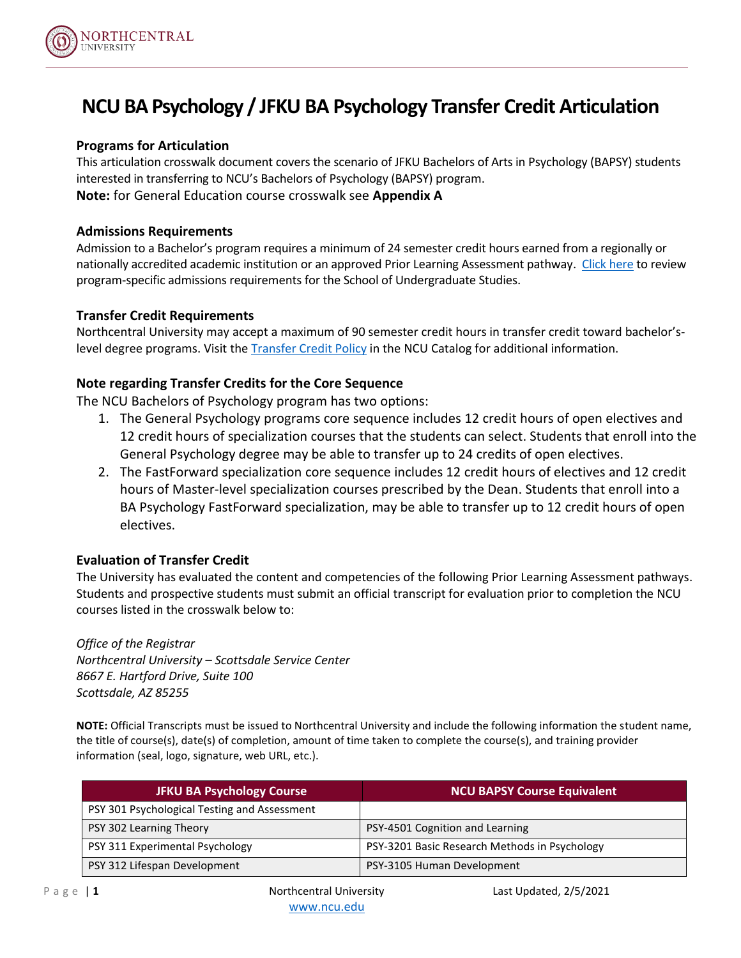

# **NCUBA Psychology / JFKU BA Psychology Transfer Credit Articulation**

### **Programs for Articulation**

This articulation crosswalk document covers the scenario of JFKU Bachelors of Arts in Psychology (BAPSY) students interested in transferring to NCU's Bachelors of Psychology (BAPSY) program. **Note:** for General Education course crosswalk see **Appendix A**

#### **Admissions Requirements**

Admission to a Bachelor's program requires a minimum of 24 semester credit hours earned from a regionally or nationally accredited academic institution or an approved Prior Learning Assessment pathway. [Click here](https://catalog.ncu.edu/content.php?catoid=41&navoid=8558) to review program-specific admissions requirements for the School of Undergraduate Studies.

#### **Transfer Credit Requirements**

Northcentral University may accept a maximum of 90 semester credit hours in transfer credit toward bachelor'slevel degree programs. Visit th[e Transfer Credit Policy](https://catalog.ncu.edu/content.php?catoid=41&navoid=8530#transfer-of-credit) in the NCU Catalog for additional information.

#### **Note regarding Transfer Credits for the Core Sequence**

The NCU Bachelors of Psychology program has two options:

- 1. The General Psychology programs core sequence includes 12 credit hours of open electives and 12 credit hours of specialization courses that the students can select. Students that enroll into the General Psychology degree may be able to transfer up to 24 credits of open electives.
- 2. The FastForward specialization core sequence includes 12 credit hours of electives and 12 credit hours of Master-level specialization courses prescribed by the Dean. Students that enroll into a BA Psychology FastForward specialization, may be able to transfer up to 12 credit hours of open electives.

### **Evaluation of Transfer Credit**

The University has evaluated the content and competencies of the following Prior Learning Assessment pathways. Students and prospective students must submit an official transcript for evaluation prior to completion the NCU courses listed in the crosswalk below to:

*Office of the Registrar Northcentral University – Scottsdale Service Center 8667 E. Hartford Drive, Suite 100 Scottsdale, AZ 85255*

**NOTE:** Official Transcripts must be issued to Northcentral University and include the following information the student name, the title of course(s), date(s) of completion, amount of time taken to complete the course(s), and training provider information (seal, logo, signature, web URL, etc.).

| <b>JFKU BA Psychology Course</b>             | <b>NCU BAPSY Course Equivalent</b>            |
|----------------------------------------------|-----------------------------------------------|
| PSY 301 Psychological Testing and Assessment |                                               |
| PSY 302 Learning Theory                      | PSY-4501 Cognition and Learning               |
| PSY 311 Experimental Psychology              | PSY-3201 Basic Research Methods in Psychology |
| PSY 312 Lifespan Development                 | PSY-3105 Human Development                    |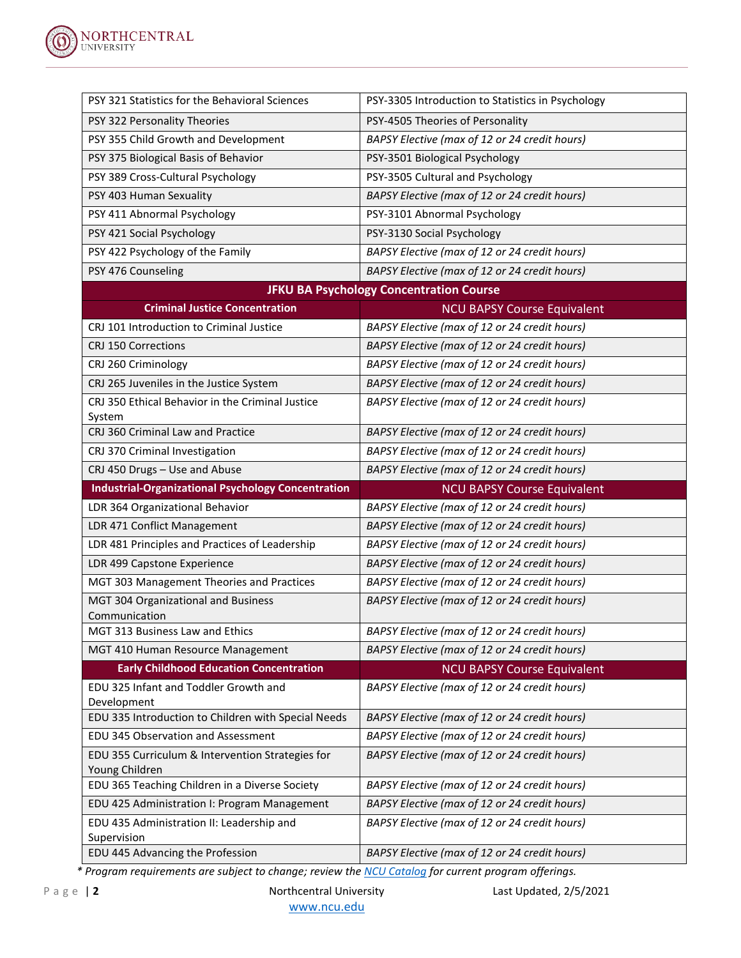

| PSY 321 Statistics for the Behavioral Sciences                                               | PSY-3305 Introduction to Statistics in Psychology                                   |  |
|----------------------------------------------------------------------------------------------|-------------------------------------------------------------------------------------|--|
| PSY 322 Personality Theories                                                                 | PSY-4505 Theories of Personality                                                    |  |
| PSY 355 Child Growth and Development                                                         | BAPSY Elective (max of 12 or 24 credit hours)                                       |  |
| PSY 375 Biological Basis of Behavior                                                         | PSY-3501 Biological Psychology                                                      |  |
| PSY 389 Cross-Cultural Psychology                                                            | PSY-3505 Cultural and Psychology                                                    |  |
| PSY 403 Human Sexuality                                                                      | BAPSY Elective (max of 12 or 24 credit hours)                                       |  |
| PSY 411 Abnormal Psychology                                                                  | PSY-3101 Abnormal Psychology                                                        |  |
| PSY 421 Social Psychology                                                                    | PSY-3130 Social Psychology                                                          |  |
| PSY 422 Psychology of the Family                                                             | BAPSY Elective (max of 12 or 24 credit hours)                                       |  |
| PSY 476 Counseling                                                                           | BAPSY Elective (max of 12 or 24 credit hours)                                       |  |
| <b>JFKU BA Psychology Concentration Course</b>                                               |                                                                                     |  |
| <b>Criminal Justice Concentration</b>                                                        | <b>NCU BAPSY Course Equivalent</b>                                                  |  |
| CRJ 101 Introduction to Criminal Justice                                                     | BAPSY Elective (max of 12 or 24 credit hours)                                       |  |
| CRJ 150 Corrections                                                                          | BAPSY Elective (max of 12 or 24 credit hours)                                       |  |
| CRJ 260 Criminology                                                                          | BAPSY Elective (max of 12 or 24 credit hours)                                       |  |
| CRJ 265 Juveniles in the Justice System                                                      | BAPSY Elective (max of 12 or 24 credit hours)                                       |  |
| CRJ 350 Ethical Behavior in the Criminal Justice                                             | BAPSY Elective (max of 12 or 24 credit hours)                                       |  |
| System<br>CRJ 360 Criminal Law and Practice                                                  | BAPSY Elective (max of 12 or 24 credit hours)                                       |  |
| CRJ 370 Criminal Investigation                                                               | BAPSY Elective (max of 12 or 24 credit hours)                                       |  |
| CRJ 450 Drugs - Use and Abuse                                                                | BAPSY Elective (max of 12 or 24 credit hours)                                       |  |
|                                                                                              |                                                                                     |  |
|                                                                                              |                                                                                     |  |
| <b>Industrial-Organizational Psychology Concentration</b><br>LDR 364 Organizational Behavior | <b>NCU BAPSY Course Equivalent</b><br>BAPSY Elective (max of 12 or 24 credit hours) |  |
| LDR 471 Conflict Management                                                                  | BAPSY Elective (max of 12 or 24 credit hours)                                       |  |
| LDR 481 Principles and Practices of Leadership                                               | BAPSY Elective (max of 12 or 24 credit hours)                                       |  |
| LDR 499 Capstone Experience                                                                  | BAPSY Elective (max of 12 or 24 credit hours)                                       |  |
| MGT 303 Management Theories and Practices                                                    | BAPSY Elective (max of 12 or 24 credit hours)                                       |  |
| MGT 304 Organizational and Business                                                          | BAPSY Elective (max of 12 or 24 credit hours)                                       |  |
| Communication                                                                                |                                                                                     |  |
| <b>MGT 313 Business Law and Ethics</b>                                                       | BAPSY Elective (max of 12 or 24 credit hours)                                       |  |
| MGT 410 Human Resource Management                                                            | BAPSY Elective (max of 12 or 24 credit hours)                                       |  |
| <b>Early Childhood Education Concentration</b>                                               | <b>NCU BAPSY Course Equivalent</b>                                                  |  |
| EDU 325 Infant and Toddler Growth and                                                        | BAPSY Elective (max of 12 or 24 credit hours)                                       |  |
| Development                                                                                  |                                                                                     |  |
| EDU 335 Introduction to Children with Special Needs                                          | BAPSY Elective (max of 12 or 24 credit hours)                                       |  |
| EDU 345 Observation and Assessment                                                           | BAPSY Elective (max of 12 or 24 credit hours)                                       |  |
| EDU 355 Curriculum & Intervention Strategies for<br>Young Children                           | BAPSY Elective (max of 12 or 24 credit hours)                                       |  |
| EDU 365 Teaching Children in a Diverse Society                                               | BAPSY Elective (max of 12 or 24 credit hours)                                       |  |
| EDU 425 Administration I: Program Management                                                 | BAPSY Elective (max of 12 or 24 credit hours)                                       |  |
| EDU 435 Administration II: Leadership and                                                    | BAPSY Elective (max of 12 or 24 credit hours)                                       |  |
| Supervision<br>EDU 445 Advancing the Profession                                              | BAPSY Elective (max of 12 or 24 credit hours)                                       |  |

*\* Program requirements are subject to change; review the [NCU Catalog](https://catalog.ncu.edu/) for current program offerings.*